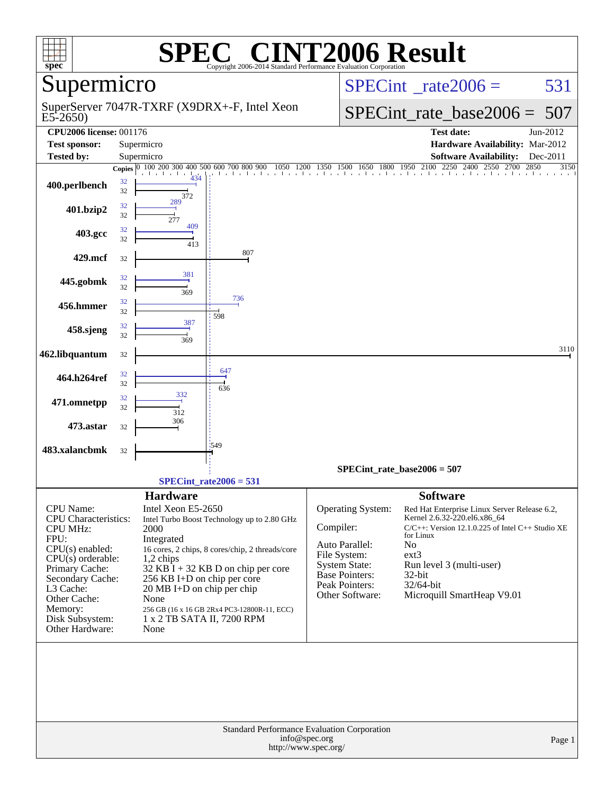| $spec^*$                           |          |                                                             | $\mathbf{P}(\mathbb{R})$<br>Copyright 2006-2014 Standard Performance Evaluation Corporation |              |                                      | <b>VT2006 Result</b>                                                                           |          |
|------------------------------------|----------|-------------------------------------------------------------|---------------------------------------------------------------------------------------------|--------------|--------------------------------------|------------------------------------------------------------------------------------------------|----------|
| upermicro                          |          |                                                             |                                                                                             |              | $SPECint^{\circ}$ rate $2006 =$      | 531                                                                                            |          |
| $E5-2650$                          |          |                                                             | SuperServer 7047R-TXRF (X9DRX+-F, Intel Xeon                                                |              |                                      | $SPECint$ rate_base2006 =                                                                      | 507      |
| <b>CPU2006 license: 001176</b>     |          |                                                             |                                                                                             |              |                                      | <b>Test date:</b>                                                                              | Jun-2012 |
| <b>Test sponsor:</b>               |          | Supermicro                                                  |                                                                                             |              |                                      | Hardware Availability: Mar-2012                                                                |          |
| <b>Tested by:</b>                  |          | Supermicro                                                  |                                                                                             |              |                                      | <b>Software Availability:</b>                                                                  | Dec-2011 |
|                                    |          | Copies 0 100 200 300 400 500 600 700 800 900<br>den den den | 1050                                                                                        | 1350<br>1200 |                                      | 1500 1650 1800 1950 2100 2250 2400 2550<br>2700 2850<br>ألتقأ بقآ بباعثا بباعث اعتباره التباعث | 3150     |
| 400.perlbench                      | 32<br>32 | ı<br>434<br>372                                             |                                                                                             |              |                                      |                                                                                                |          |
| 401.bzip2                          | 32<br>32 | 289<br>277                                                  |                                                                                             |              |                                      |                                                                                                |          |
| 403.gcc                            | 32<br>32 | 409<br>413                                                  |                                                                                             |              |                                      |                                                                                                |          |
| 429.mcf                            | 32       |                                                             | 807                                                                                         |              |                                      |                                                                                                |          |
| 445.gobmk                          | 32<br>32 | 381<br>369                                                  |                                                                                             |              |                                      |                                                                                                |          |
| 456.hmmer                          | 32<br>32 |                                                             | 736<br>598                                                                                  |              |                                      |                                                                                                |          |
| 458.sjeng                          | 32<br>32 | 387<br>369                                                  |                                                                                             |              |                                      |                                                                                                |          |
| 462.libquantum                     | 32       |                                                             |                                                                                             |              |                                      |                                                                                                | 3110     |
| 464.h264ref                        | 32<br>32 |                                                             | 647<br>636                                                                                  |              |                                      |                                                                                                |          |
| 471.omnetpp                        | 32<br>32 | 332<br>312                                                  |                                                                                             |              |                                      |                                                                                                |          |
| 473.astar                          | 32       | 306                                                         |                                                                                             |              |                                      |                                                                                                |          |
| 483.xalancbmk                      | 32       |                                                             | 1549                                                                                        |              |                                      |                                                                                                |          |
|                                    |          |                                                             | $SPECint_rate2006 = 531$                                                                    |              |                                      | $SPECint_rate_base2006 = 507$                                                                  |          |
|                                    |          | <b>Hardware</b>                                             |                                                                                             |              |                                      | <b>Software</b>                                                                                |          |
| <b>CPU</b> Name:                   |          | Intel Xeon E5-2650                                          |                                                                                             |              | Operating System:                    | Red Hat Enterprise Linux Server Release 6.2,                                                   |          |
| <b>CPU</b> Characteristics:        |          |                                                             | Intel Turbo Boost Technology up to 2.80 GHz                                                 |              |                                      | Kernel 2.6.32-220.el6.x86_64                                                                   |          |
| <b>CPU MHz:</b><br>FPU:            |          | 2000<br>Integrated                                          |                                                                                             | Compiler:    |                                      | $C/C++$ : Version 12.1.0.225 of Intel $C++$ Studio XE<br>for Linux                             |          |
| $CPU(s)$ enabled:                  |          |                                                             | 16 cores, 2 chips, 8 cores/chip, 2 threads/core                                             |              | Auto Parallel:                       | No                                                                                             |          |
| $CPU(s)$ orderable:                |          | 1,2 chips                                                   |                                                                                             |              | File System:<br><b>System State:</b> | $ext{3}$<br>Run level 3 (multi-user)                                                           |          |
| Primary Cache:                     |          |                                                             | $32$ KB I + 32 KB D on chip per core                                                        |              | <b>Base Pointers:</b>                | 32-bit                                                                                         |          |
| Secondary Cache:<br>L3 Cache:      |          | 256 KB I+D on chip per core<br>20 MB I+D on chip per chip   |                                                                                             |              | Peak Pointers:                       | $32/64$ -bit                                                                                   |          |
| Other Cache:                       |          | None                                                        |                                                                                             |              | Other Software:                      | Microquill SmartHeap V9.01                                                                     |          |
| Memory:                            |          |                                                             | 256 GB (16 x 16 GB 2Rx4 PC3-12800R-11, ECC)                                                 |              |                                      |                                                                                                |          |
| Disk Subsystem:<br>Other Hardware: |          | 1 x 2 TB SATA II, 7200 RPM<br>None                          |                                                                                             |              |                                      |                                                                                                |          |
|                                    |          |                                                             |                                                                                             |              |                                      |                                                                                                |          |
|                                    |          |                                                             | Standard Performance Evaluation Corporation<br>$\frac{1}{2}$                                |              |                                      |                                                                                                |          |

[info@spec.org](mailto:info@spec.org) <http://www.spec.org/>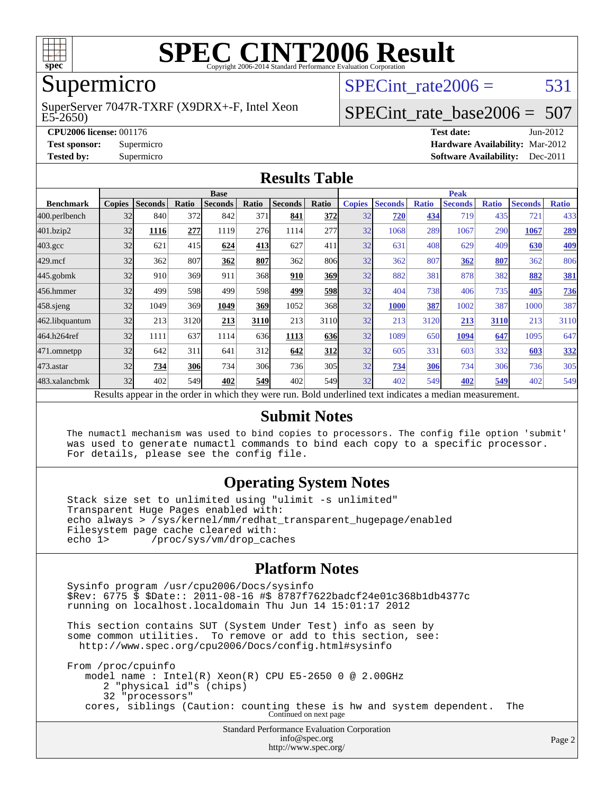

## Supermicro

#### E5-2650) SuperServer 7047R-TXRF (X9DRX+-F, Intel Xeon

SPECint rate $2006 = 531$ 

# [SPECint\\_rate\\_base2006 =](http://www.spec.org/auto/cpu2006/Docs/result-fields.html#SPECintratebase2006) 507

**[CPU2006 license:](http://www.spec.org/auto/cpu2006/Docs/result-fields.html#CPU2006license)** 001176 **[Test date:](http://www.spec.org/auto/cpu2006/Docs/result-fields.html#Testdate)** Jun-2012 **[Test sponsor:](http://www.spec.org/auto/cpu2006/Docs/result-fields.html#Testsponsor)** Supermicro **[Hardware Availability:](http://www.spec.org/auto/cpu2006/Docs/result-fields.html#HardwareAvailability)** Mar-2012 **[Tested by:](http://www.spec.org/auto/cpu2006/Docs/result-fields.html#Testedby)** Supermicro **Supermicro [Software Availability:](http://www.spec.org/auto/cpu2006/Docs/result-fields.html#SoftwareAvailability)** Dec-2011

#### **[Results Table](http://www.spec.org/auto/cpu2006/Docs/result-fields.html#ResultsTable)**

|                                                                                                          | <b>Base</b>   |                |       |                |       |                |            | <b>Peak</b>   |                |              |                |              |                |              |
|----------------------------------------------------------------------------------------------------------|---------------|----------------|-------|----------------|-------|----------------|------------|---------------|----------------|--------------|----------------|--------------|----------------|--------------|
| <b>Benchmark</b>                                                                                         | <b>Copies</b> | <b>Seconds</b> | Ratio | <b>Seconds</b> | Ratio | <b>Seconds</b> | Ratio      | <b>Copies</b> | <b>Seconds</b> | <b>Ratio</b> | <b>Seconds</b> | <b>Ratio</b> | <b>Seconds</b> | <b>Ratio</b> |
| 400.perlbench                                                                                            | 32            | 840            | 372   | 842            | 371   | 841            | <b>372</b> | 32            | 720            | 434          | 719            | 435          | 721            | 433          |
| 401.bzip2                                                                                                | 32            | 1116           | 277   | 1119           | 276   | 1114           | 277        | 32            | 1068           | 289          | 1067           | 290          | 1067           | 289          |
| $403.\mathrm{gcc}$                                                                                       | 32            | 621            | 415   | 624            | 413   | 627            | 411        | 32            | 631            | 408          | 629            | 409          | 630            | <u>409</u>   |
| $429$ .mcf                                                                                               | 32            | 362            | 807   | 362            | 807   | 362            | 806        | 32            | 362            | 807          | 362            | 807          | 362            | 806          |
| $445$ .gobmk                                                                                             | 32            | 910            | 369   | 911            | 368   | 910            | 369        | 32            | 882            | 381          | 878            | 382          | 882            | 381          |
| 456.hmmer                                                                                                | 32            | 499            | 598   | 499            | 598   | 499            | <b>598</b> | 32            | 404            | 738          | 406            | 735          | 405            | 736          |
| $458$ .sjeng                                                                                             | 32            | 1049           | 369   | 1049           | 369   | 1052           | 368I       | 32            | 1000           | 387          | 1002           | 387          | 1000           | 387          |
| 462.libquantum                                                                                           | 32            | 213            | 3120  | 213            | 3110  | 213            | 3110       | 32            | 213            | 3120         | 213            | 3110         | 213            | 3110         |
| 464.h264ref                                                                                              | 32            | 1111           | 637   | 1114           | 636   | 1113           | 636        | 32            | 1089           | 650          | 1094           | 647          | 1095           | 647          |
| 471.omnetpp                                                                                              | 32            | 642            | 311   | 641            | 312   | 642            | 312        | 32            | 605            | 331          | 603            | 332          | 603            | 332          |
| $473$ . astar                                                                                            | 32            | 734            | 306   | 734            | 306   | 736            | 305        | 32            | 734            | 306          | 734            | 306          | 736            | 305          |
| 483.xalancbmk                                                                                            | 32            | 402            | 549   | 402            | 549   | 402            | 549I       | 32            | 402            | 549          | 402            | 549          | 402            | 549          |
| Results appear in the order in which they were run. Bold underlined text indicates a median measurement. |               |                |       |                |       |                |            |               |                |              |                |              |                |              |

#### **[Submit Notes](http://www.spec.org/auto/cpu2006/Docs/result-fields.html#SubmitNotes)**

 The numactl mechanism was used to bind copies to processors. The config file option 'submit' was used to generate numactl commands to bind each copy to a specific processor. For details, please see the config file.

### **[Operating System Notes](http://www.spec.org/auto/cpu2006/Docs/result-fields.html#OperatingSystemNotes)**

 Stack size set to unlimited using "ulimit -s unlimited" Transparent Huge Pages enabled with: echo always > /sys/kernel/mm/redhat\_transparent\_hugepage/enabled Filesystem page cache cleared with:<br>echo 1> /proc/sys/vm/drop cac /proc/sys/vm/drop\_caches

### **[Platform Notes](http://www.spec.org/auto/cpu2006/Docs/result-fields.html#PlatformNotes)**

Standard Performance Evaluation Corporation Sysinfo program /usr/cpu2006/Docs/sysinfo \$Rev: 6775 \$ \$Date:: 2011-08-16 #\$ 8787f7622badcf24e01c368b1db4377c running on localhost.localdomain Thu Jun 14 15:01:17 2012 This section contains SUT (System Under Test) info as seen by some common utilities. To remove or add to this section, see: <http://www.spec.org/cpu2006/Docs/config.html#sysinfo> From /proc/cpuinfo model name : Intel(R) Xeon(R) CPU E5-2650 0 @ 2.00GHz 2 "physical id"s (chips) 32 "processors" cores, siblings (Caution: counting these is hw and system dependent. The Continued on next page

[info@spec.org](mailto:info@spec.org) <http://www.spec.org/>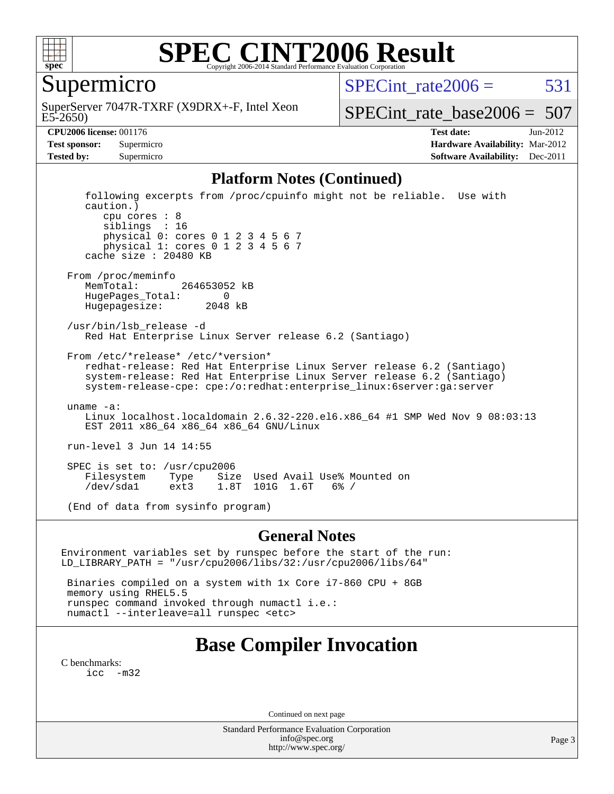

Supermicro

E5-2650) SuperServer 7047R-TXRF (X9DRX+-F, Intel Xeon SPECint rate $2006 = 531$ 

[SPECint\\_rate\\_base2006 =](http://www.spec.org/auto/cpu2006/Docs/result-fields.html#SPECintratebase2006) 507

**[CPU2006 license:](http://www.spec.org/auto/cpu2006/Docs/result-fields.html#CPU2006license)** 001176 **[Test date:](http://www.spec.org/auto/cpu2006/Docs/result-fields.html#Testdate)** Jun-2012 **[Test sponsor:](http://www.spec.org/auto/cpu2006/Docs/result-fields.html#Testsponsor)** Supermicro **[Hardware Availability:](http://www.spec.org/auto/cpu2006/Docs/result-fields.html#HardwareAvailability)** Mar-2012 **[Tested by:](http://www.spec.org/auto/cpu2006/Docs/result-fields.html#Testedby)** Supermicro **Supermicro [Software Availability:](http://www.spec.org/auto/cpu2006/Docs/result-fields.html#SoftwareAvailability)** Dec-2011

#### **[Platform Notes \(Continued\)](http://www.spec.org/auto/cpu2006/Docs/result-fields.html#PlatformNotes)**

 following excerpts from /proc/cpuinfo might not be reliable. Use with caution.) cpu cores : 8 siblings : 16 physical 0: cores 0 1 2 3 4 5 6 7 physical 1: cores 0 1 2 3 4 5 6 7 cache size : 20480 KB From /proc/meminfo MemTotal: 264653052 kB HugePages\_Total: 0 Hugepagesize: 2048 kB /usr/bin/lsb\_release -d Red Hat Enterprise Linux Server release 6.2 (Santiago) From /etc/\*release\* /etc/\*version\* redhat-release: Red Hat Enterprise Linux Server release 6.2 (Santiago) system-release: Red Hat Enterprise Linux Server release 6.2 (Santiago) system-release-cpe: cpe:/o:redhat:enterprise\_linux:6server:ga:server uname -a: Linux localhost.localdomain 2.6.32-220.el6.x86\_64 #1 SMP Wed Nov 9 08:03:13 EST 2011 x86\_64 x86\_64 x86\_64 GNU/Linux run-level 3 Jun 14 14:55 SPEC is set to: /usr/cpu2006 Type Size Used Avail Use% Mounted on /dev/sda1 ext3 1.8T 101G 1.6T 6% / (End of data from sysinfo program)

#### **[General Notes](http://www.spec.org/auto/cpu2006/Docs/result-fields.html#GeneralNotes)**

Environment variables set by runspec before the start of the run: LD\_LIBRARY\_PATH = "/usr/cpu2006/libs/32:/usr/cpu2006/libs/64"

 Binaries compiled on a system with 1x Core i7-860 CPU + 8GB memory using RHEL5.5 runspec command invoked through numactl i.e.: numactl --interleave=all runspec <etc>

## **[Base Compiler Invocation](http://www.spec.org/auto/cpu2006/Docs/result-fields.html#BaseCompilerInvocation)**

[C benchmarks](http://www.spec.org/auto/cpu2006/Docs/result-fields.html#Cbenchmarks): [icc -m32](http://www.spec.org/cpu2006/results/res2012q3/cpu2006-20120620-23163.flags.html#user_CCbase_intel_icc_5ff4a39e364c98233615fdd38438c6f2)

Continued on next page

Standard Performance Evaluation Corporation [info@spec.org](mailto:info@spec.org) <http://www.spec.org/>

Page 3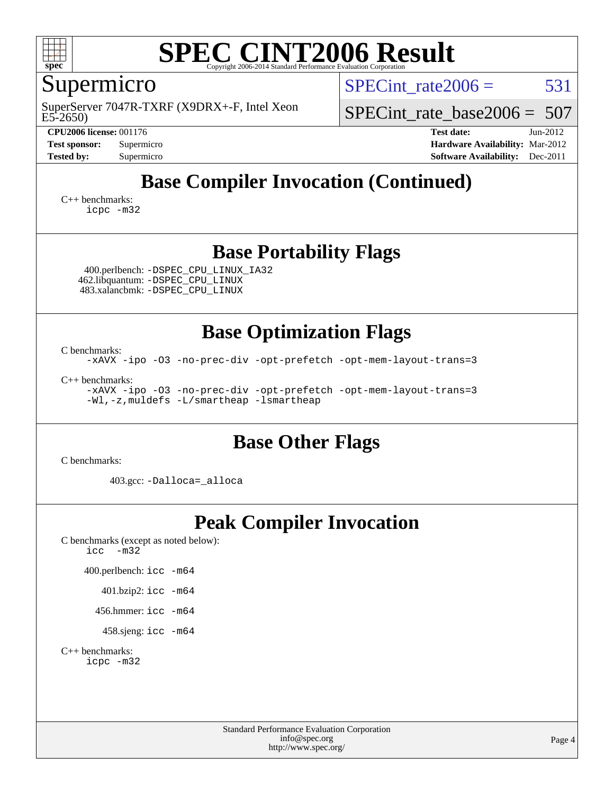

# Supermicro

E5-2650) SuperServer 7047R-TXRF (X9DRX+-F, Intel Xeon SPECint rate $2006 = 531$ 

SPECint rate base2006 =  $507$ 

**[CPU2006 license:](http://www.spec.org/auto/cpu2006/Docs/result-fields.html#CPU2006license)** 001176 **[Test date:](http://www.spec.org/auto/cpu2006/Docs/result-fields.html#Testdate)** Jun-2012 **[Test sponsor:](http://www.spec.org/auto/cpu2006/Docs/result-fields.html#Testsponsor)** Supermicro **[Hardware Availability:](http://www.spec.org/auto/cpu2006/Docs/result-fields.html#HardwareAvailability)** Mar-2012 **[Tested by:](http://www.spec.org/auto/cpu2006/Docs/result-fields.html#Testedby)** Supermicro **Supermicro [Software Availability:](http://www.spec.org/auto/cpu2006/Docs/result-fields.html#SoftwareAvailability)** Dec-2011

# **[Base Compiler Invocation \(Continued\)](http://www.spec.org/auto/cpu2006/Docs/result-fields.html#BaseCompilerInvocation)**

[C++ benchmarks:](http://www.spec.org/auto/cpu2006/Docs/result-fields.html#CXXbenchmarks) [icpc -m32](http://www.spec.org/cpu2006/results/res2012q3/cpu2006-20120620-23163.flags.html#user_CXXbase_intel_icpc_4e5a5ef1a53fd332b3c49e69c3330699)

## **[Base Portability Flags](http://www.spec.org/auto/cpu2006/Docs/result-fields.html#BasePortabilityFlags)**

 400.perlbench: [-DSPEC\\_CPU\\_LINUX\\_IA32](http://www.spec.org/cpu2006/results/res2012q3/cpu2006-20120620-23163.flags.html#b400.perlbench_baseCPORTABILITY_DSPEC_CPU_LINUX_IA32) 462.libquantum: [-DSPEC\\_CPU\\_LINUX](http://www.spec.org/cpu2006/results/res2012q3/cpu2006-20120620-23163.flags.html#b462.libquantum_baseCPORTABILITY_DSPEC_CPU_LINUX) 483.xalancbmk: [-DSPEC\\_CPU\\_LINUX](http://www.spec.org/cpu2006/results/res2012q3/cpu2006-20120620-23163.flags.html#b483.xalancbmk_baseCXXPORTABILITY_DSPEC_CPU_LINUX)

### **[Base Optimization Flags](http://www.spec.org/auto/cpu2006/Docs/result-fields.html#BaseOptimizationFlags)**

[C benchmarks](http://www.spec.org/auto/cpu2006/Docs/result-fields.html#Cbenchmarks): [-xAVX](http://www.spec.org/cpu2006/results/res2012q3/cpu2006-20120620-23163.flags.html#user_CCbase_f-xAVX) [-ipo](http://www.spec.org/cpu2006/results/res2012q3/cpu2006-20120620-23163.flags.html#user_CCbase_f-ipo) [-O3](http://www.spec.org/cpu2006/results/res2012q3/cpu2006-20120620-23163.flags.html#user_CCbase_f-O3) [-no-prec-div](http://www.spec.org/cpu2006/results/res2012q3/cpu2006-20120620-23163.flags.html#user_CCbase_f-no-prec-div) [-opt-prefetch](http://www.spec.org/cpu2006/results/res2012q3/cpu2006-20120620-23163.flags.html#user_CCbase_f-opt-prefetch) [-opt-mem-layout-trans=3](http://www.spec.org/cpu2006/results/res2012q3/cpu2006-20120620-23163.flags.html#user_CCbase_f-opt-mem-layout-trans_a7b82ad4bd7abf52556d4961a2ae94d5)

[C++ benchmarks:](http://www.spec.org/auto/cpu2006/Docs/result-fields.html#CXXbenchmarks) [-xAVX](http://www.spec.org/cpu2006/results/res2012q3/cpu2006-20120620-23163.flags.html#user_CXXbase_f-xAVX) [-ipo](http://www.spec.org/cpu2006/results/res2012q3/cpu2006-20120620-23163.flags.html#user_CXXbase_f-ipo) [-O3](http://www.spec.org/cpu2006/results/res2012q3/cpu2006-20120620-23163.flags.html#user_CXXbase_f-O3) [-no-prec-div](http://www.spec.org/cpu2006/results/res2012q3/cpu2006-20120620-23163.flags.html#user_CXXbase_f-no-prec-div) [-opt-prefetch](http://www.spec.org/cpu2006/results/res2012q3/cpu2006-20120620-23163.flags.html#user_CXXbase_f-opt-prefetch) [-opt-mem-layout-trans=3](http://www.spec.org/cpu2006/results/res2012q3/cpu2006-20120620-23163.flags.html#user_CXXbase_f-opt-mem-layout-trans_a7b82ad4bd7abf52556d4961a2ae94d5) [-Wl,-z,muldefs](http://www.spec.org/cpu2006/results/res2012q3/cpu2006-20120620-23163.flags.html#user_CXXbase_link_force_multiple1_74079c344b956b9658436fd1b6dd3a8a) [-L/smartheap -lsmartheap](http://www.spec.org/cpu2006/results/res2012q3/cpu2006-20120620-23163.flags.html#user_CXXbase_SmartHeap_7c9e394a5779e1a7fec7c221e123830c)

## **[Base Other Flags](http://www.spec.org/auto/cpu2006/Docs/result-fields.html#BaseOtherFlags)**

[C benchmarks](http://www.spec.org/auto/cpu2006/Docs/result-fields.html#Cbenchmarks):

403.gcc: [-Dalloca=\\_alloca](http://www.spec.org/cpu2006/results/res2012q3/cpu2006-20120620-23163.flags.html#b403.gcc_baseEXTRA_CFLAGS_Dalloca_be3056838c12de2578596ca5467af7f3)

# **[Peak Compiler Invocation](http://www.spec.org/auto/cpu2006/Docs/result-fields.html#PeakCompilerInvocation)**

[C benchmarks \(except as noted below\)](http://www.spec.org/auto/cpu2006/Docs/result-fields.html#Cbenchmarksexceptasnotedbelow): [icc -m32](http://www.spec.org/cpu2006/results/res2012q3/cpu2006-20120620-23163.flags.html#user_CCpeak_intel_icc_5ff4a39e364c98233615fdd38438c6f2)

400.perlbench: [icc -m64](http://www.spec.org/cpu2006/results/res2012q3/cpu2006-20120620-23163.flags.html#user_peakCCLD400_perlbench_intel_icc_64bit_bda6cc9af1fdbb0edc3795bac97ada53)

401.bzip2: [icc -m64](http://www.spec.org/cpu2006/results/res2012q3/cpu2006-20120620-23163.flags.html#user_peakCCLD401_bzip2_intel_icc_64bit_bda6cc9af1fdbb0edc3795bac97ada53)

456.hmmer: [icc -m64](http://www.spec.org/cpu2006/results/res2012q3/cpu2006-20120620-23163.flags.html#user_peakCCLD456_hmmer_intel_icc_64bit_bda6cc9af1fdbb0edc3795bac97ada53)

458.sjeng: [icc -m64](http://www.spec.org/cpu2006/results/res2012q3/cpu2006-20120620-23163.flags.html#user_peakCCLD458_sjeng_intel_icc_64bit_bda6cc9af1fdbb0edc3795bac97ada53)

[C++ benchmarks:](http://www.spec.org/auto/cpu2006/Docs/result-fields.html#CXXbenchmarks) [icpc -m32](http://www.spec.org/cpu2006/results/res2012q3/cpu2006-20120620-23163.flags.html#user_CXXpeak_intel_icpc_4e5a5ef1a53fd332b3c49e69c3330699)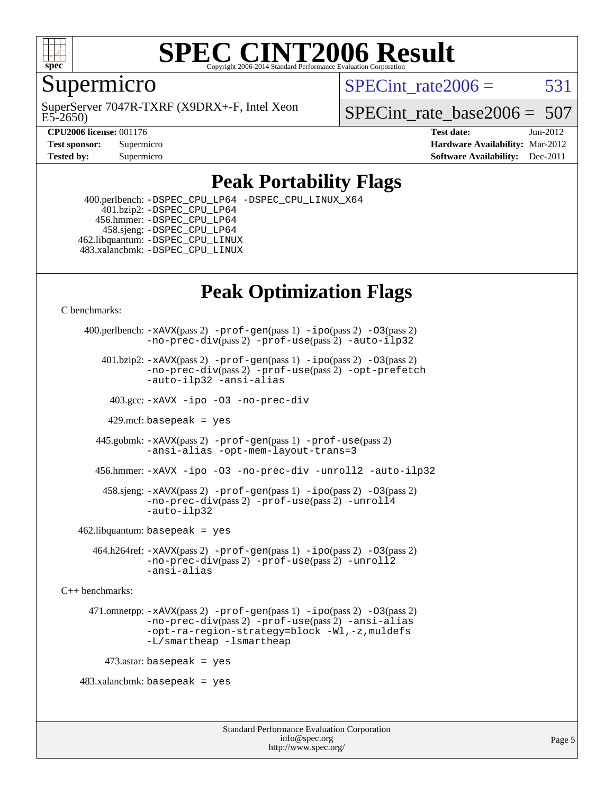

### **[SPEC CINT2006 Result](http://www.spec.org/auto/cpu2006/Docs/result-fields.html#SPECCINT2006Result)** Copyright 2006-2014 Standard Performance Evaluation C

Supermicro

E5-2650) SuperServer 7047R-TXRF (X9DRX+-F, Intel Xeon SPECint rate $2006 = 531$ 

SPECint rate base2006 =  $507$ 

**[CPU2006 license:](http://www.spec.org/auto/cpu2006/Docs/result-fields.html#CPU2006license)** 001176 **[Test date:](http://www.spec.org/auto/cpu2006/Docs/result-fields.html#Testdate)** Jun-2012 **[Test sponsor:](http://www.spec.org/auto/cpu2006/Docs/result-fields.html#Testsponsor)** Supermicro **[Hardware Availability:](http://www.spec.org/auto/cpu2006/Docs/result-fields.html#HardwareAvailability)** Mar-2012 **[Tested by:](http://www.spec.org/auto/cpu2006/Docs/result-fields.html#Testedby)** Supermicro **Supermicro [Software Availability:](http://www.spec.org/auto/cpu2006/Docs/result-fields.html#SoftwareAvailability)** Dec-2011

## **[Peak Portability Flags](http://www.spec.org/auto/cpu2006/Docs/result-fields.html#PeakPortabilityFlags)**

 400.perlbench: [-DSPEC\\_CPU\\_LP64](http://www.spec.org/cpu2006/results/res2012q3/cpu2006-20120620-23163.flags.html#b400.perlbench_peakCPORTABILITY_DSPEC_CPU_LP64) [-DSPEC\\_CPU\\_LINUX\\_X64](http://www.spec.org/cpu2006/results/res2012q3/cpu2006-20120620-23163.flags.html#b400.perlbench_peakCPORTABILITY_DSPEC_CPU_LINUX_X64) 401.bzip2: [-DSPEC\\_CPU\\_LP64](http://www.spec.org/cpu2006/results/res2012q3/cpu2006-20120620-23163.flags.html#suite_peakCPORTABILITY401_bzip2_DSPEC_CPU_LP64) 456.hmmer: [-DSPEC\\_CPU\\_LP64](http://www.spec.org/cpu2006/results/res2012q3/cpu2006-20120620-23163.flags.html#suite_peakCPORTABILITY456_hmmer_DSPEC_CPU_LP64) 458.sjeng: [-DSPEC\\_CPU\\_LP64](http://www.spec.org/cpu2006/results/res2012q3/cpu2006-20120620-23163.flags.html#suite_peakCPORTABILITY458_sjeng_DSPEC_CPU_LP64) 462.libquantum: [-DSPEC\\_CPU\\_LINUX](http://www.spec.org/cpu2006/results/res2012q3/cpu2006-20120620-23163.flags.html#b462.libquantum_peakCPORTABILITY_DSPEC_CPU_LINUX) 483.xalancbmk: [-DSPEC\\_CPU\\_LINUX](http://www.spec.org/cpu2006/results/res2012q3/cpu2006-20120620-23163.flags.html#b483.xalancbmk_peakCXXPORTABILITY_DSPEC_CPU_LINUX)

# **[Peak Optimization Flags](http://www.spec.org/auto/cpu2006/Docs/result-fields.html#PeakOptimizationFlags)**

[C benchmarks](http://www.spec.org/auto/cpu2006/Docs/result-fields.html#Cbenchmarks):

```
 400.perlbench: -xAVX(pass 2) -prof-gen(pass 1) -ipo(pass 2) -O3(pass 2)
                -no-prec-div(pass 2) -prof-use(pass 2) -auto-ilp32
        401.bzip2: -xAVX(pass 2) -prof-gen(pass 1) -ipo(pass 2) -O3(pass 2)
                -no-prec-div(pass 2) -prof-use(pass 2) -opt-prefetch
                -auto-ilp32 -ansi-alias
          403.gcc: -xAVX -ipo -O3 -no-prec-div
         429.mcf: basepeak = yes
       445.gobmk: -xAVX(pass 2) -prof-gen(pass 1) -prof-use(pass 2)
                -ansi-alias -opt-mem-layout-trans=3
       456.hmmer: -xAVX -ipo -O3 -no-prec-div -unroll2 -auto-ilp32
         458.sjeng: -xAVX(pass 2) -prof-gen(pass 1) -ipo(pass 2) -O3(pass 2)
                -no-prec-div(pass 2) -prof-use(pass 2) -unroll4
                -auto-ilp32
   462.libquantum: basepeak = yes
       464.h264ref: -xAVX(pass 2) -prof-gen(pass 1) -ipo(pass 2) -O3(pass 2)
                -no-prec-div(pass 2) -prof-use(pass 2) -unroll2
                -ansi-alias
C++ benchmarks: 
      471.omnetpp: -xAVX(pass 2) -prof-gen(pass 1) -ipo(pass 2) -O3(pass 2)
                -no-prec-div(pass 2) -prof-use(pass 2) -ansi-alias
                -opt-ra-region-strategy=block -Wl,-z,muldefs
                -L/smartheap -lsmartheap
        473.astar: basepeak = yes
   483.xalanchmk: basepeak = yes
```